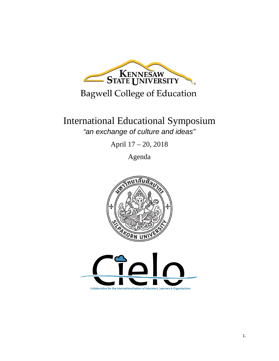

## **Bagwell College of Education**

## International Educational Symposium *"an exchange of culture and ideas"*

April 17 – 20, 2018

Agenda



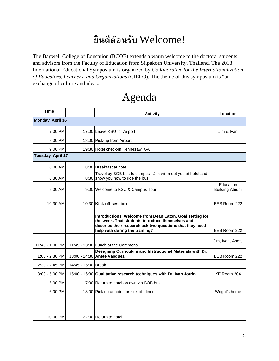## **ย ินดีต้อนรับ** Welcome!

The Bagwell College of Education (BCOE) extends a warm welcome to the doctoral students and advisors from the Faculty of Education from Silpakorn University, Thailand. The 2018 International Educational Symposium is organized by *Collaborative for the Internationalization of Educators, Learners, and Organizations* (CIELO). The theme of this symposium is "an exchange of culture and ideas."

## Agenda

| Time              |                     | <b>Activity</b>                                                                                                                                                                                            | Location                            |  |  |
|-------------------|---------------------|------------------------------------------------------------------------------------------------------------------------------------------------------------------------------------------------------------|-------------------------------------|--|--|
| Monday, April 16  |                     |                                                                                                                                                                                                            |                                     |  |  |
| 7:00 PM           |                     | 17:00 Leave KSU for Airport                                                                                                                                                                                | Jim & Ivan                          |  |  |
| 8:00 PM           |                     | 18:00 Pick-up from Airport                                                                                                                                                                                 |                                     |  |  |
| 9:00 PM           |                     | 19:30 Hotel check-in Kennesaw, GA                                                                                                                                                                          |                                     |  |  |
| Tuesday, April 17 |                     |                                                                                                                                                                                                            |                                     |  |  |
| 8:00 AM           |                     | 8:00 Breakfast at hotel                                                                                                                                                                                    |                                     |  |  |
| 8:30 AM           |                     | Travel by BOB bus to campus - Jim will meet you at hotel and<br>8:30 show you how to ride the bus                                                                                                          |                                     |  |  |
| 9:00 AM           |                     | 9:00 Welcome to KSU & Campus Tour                                                                                                                                                                          | Education<br><b>Building Atrium</b> |  |  |
| 10:30 AM          |                     | 10:30 Kick off session                                                                                                                                                                                     | BEB Room 222                        |  |  |
|                   |                     | Introductions. Welcome from Dean Eaton. Goal setting for<br>the week. Thai students introduce themselves and<br>describe their research ask two questions that they need<br>help with during the training? | BEB Room 222                        |  |  |
| 11:45 - 1:00 PM   |                     | 11:45 - 13:00 Lunch at the Commons                                                                                                                                                                         | Jim, Ivan, Anete                    |  |  |
| 1:00 - 2:30 PM    |                     | Designing Curriculum and Instructional Materials with Dr.<br>13:00 - 14:30 Anete Vasquez                                                                                                                   | BEB Room 222                        |  |  |
| 2:30 - 2:45 PM    | 14:45 - 15:00 Break |                                                                                                                                                                                                            |                                     |  |  |
| 3:00 - 5:00 PM    |                     | 15:00 - 16:30 Qualitative research techniques with Dr. Ivan Jorrin                                                                                                                                         | KE Room 204                         |  |  |
| 5:00 PM           |                     | 17:00 Return to hotel on own via BOB bus                                                                                                                                                                   |                                     |  |  |
| 6:00 PM           |                     | 18:00 Pick up at hotel for kick-off dinner.                                                                                                                                                                | Wright's home                       |  |  |
| 10:00 PM          |                     | 22:00 Return to hotel                                                                                                                                                                                      |                                     |  |  |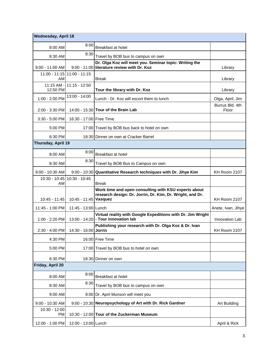| Wednesday, April 18        |                         |                                                                                                                   |                          |  |  |  |
|----------------------------|-------------------------|-------------------------------------------------------------------------------------------------------------------|--------------------------|--|--|--|
| 8:00 AM                    | 8:00                    | Breakfast at hotel                                                                                                |                          |  |  |  |
| 8:30 AM                    | 8:30                    | Travel by BOB bus to campus on own                                                                                |                          |  |  |  |
| $9:00 - 11:00$ AM          |                         | Dr. Olga Koz will meet you. Seminar topic: Writing the<br>9:00 - 11:00 literature review with Dr. Koz             | Library                  |  |  |  |
| $11:00 - 11:15$<br>AM      | 11:00 - 11:15           | Break                                                                                                             | Library                  |  |  |  |
| $11:15$ AM -<br>12:50 PM   | $11:15 - 12:50$         | Tour the library with Dr. Koz                                                                                     | Library                  |  |  |  |
| 1:00 - 2:00 PM             | $13:00 - 14:00$         | Lunch - Dr. Koz will escort them to lunch                                                                         | Olga, April, Jim         |  |  |  |
| 2:00 - 3:30 PM             |                         | 14:00 - 15:30 Tour of the Brain Lab                                                                               | Burrus Bld. 4th<br>Floor |  |  |  |
| $3:30 - 5:00$ PM           | 16:30 - 17:00 Free Time |                                                                                                                   |                          |  |  |  |
| 5:00 PM                    |                         | 17:00 Travel by BOB bus back to hotel on own                                                                      |                          |  |  |  |
| 6:30 PM                    |                         | 18:30 Dinner on own at Cracker Barrel                                                                             |                          |  |  |  |
| Thursday, April 19         |                         |                                                                                                                   |                          |  |  |  |
| 8:00 AM                    | 8:00                    | Breakfast at hotel                                                                                                |                          |  |  |  |
| 8:30 AM                    | 8:30                    | Travel by BOB Bus to Campus on own                                                                                |                          |  |  |  |
| 9:00 - 10:30 AM            |                         | 9:00 - 10:30 Quantitative Research techniques with Dr. Jihye Kim                                                  | KH Room 2107             |  |  |  |
| 10:30 - 10:45<br>AM        | 10:30 - 10:45           | Break                                                                                                             |                          |  |  |  |
| 10:45 - 11:45              | 10:45 - 11:45 Vasquez   | Work time and open consulting with KSU experts about<br>research design: Dr. Jorrin, Dr. Kim, Dr. Wright, and Dr. | KH Room 2107             |  |  |  |
| 11:45 - 1:00 PM            | 11:45 - 13:00 Lunch     |                                                                                                                   | Anete, Ivan, Jihye       |  |  |  |
| 1:00 - 2:20 PM             |                         | Virtual reality with Google Expeditions with Dr. Jim Wright<br>13:00 - 14:20 - Tour innovation lab                | Innovation Lab           |  |  |  |
| 2:30 - 4:00 PM             | 14:30 - 16:00 Jorrin    | Publishing your research with Dr. Olga Koz & Dr. Ivan                                                             | KH Room 2107             |  |  |  |
| 4:30 PM                    |                         | 16:00 Free Time                                                                                                   |                          |  |  |  |
| 5:00 PM                    |                         | 17:00 Travel by BOB bus to hotel on own                                                                           |                          |  |  |  |
| 6:30 PM                    |                         | 18:30 Dinner on own                                                                                               |                          |  |  |  |
| Friday, April 20           |                         |                                                                                                                   |                          |  |  |  |
| 8:00 AM                    | 8:00                    | Breakfast at hotel                                                                                                |                          |  |  |  |
| 8:30 AM                    | 8:30                    | Travel by BOB bus to campus on own                                                                                |                          |  |  |  |
| 9:00 AM                    |                         | 9:00 Dr. April Munson will meet you                                                                               |                          |  |  |  |
| 9:00 - 10:30 AM            |                         | 9:00 - 10:30 Neuropsychology of Art with Dr. Rick Gardner                                                         | Art Building             |  |  |  |
| 10:30 - 12:00<br><b>PM</b> |                         | 10:30 - 12:00 Tour of the Zuckerman Museum                                                                        |                          |  |  |  |
| 12:00 - 1:00 PM            | 12:00 - 13:00 Lunch     |                                                                                                                   | April & Rick             |  |  |  |